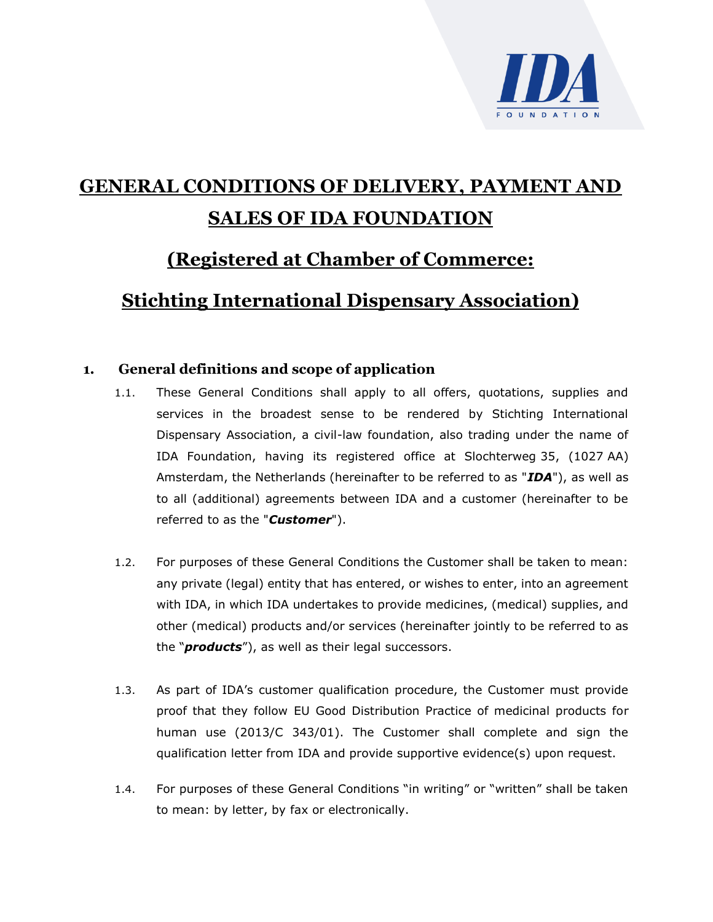

# **GENERAL CONDITIONS OF DELIVERY, PAYMENT AND SALES OF IDA FOUNDATION**

# **(Registered at Chamber of Commerce:**

# **Stichting International Dispensary Association)**

# **1. General definitions and scope of application**

- 1.1. These General Conditions shall apply to all offers, quotations, supplies and services in the broadest sense to be rendered by Stichting International Dispensary Association, a civil-law foundation, also trading under the name of IDA Foundation, having its registered office at Slochterweg 35, (1027 AA) Amsterdam, the Netherlands (hereinafter to be referred to as "*IDA*"), as well as to all (additional) agreements between IDA and a customer (hereinafter to be referred to as the "*Customer*").
- 1.2. For purposes of these General Conditions the Customer shall be taken to mean: any private (legal) entity that has entered, or wishes to enter, into an agreement with IDA, in which IDA undertakes to provide medicines, (medical) supplies, and other (medical) products and/or services (hereinafter jointly to be referred to as the "*products*"), as well as their legal successors.
- 1.3. As part of IDA's customer qualification procedure, the Customer must provide proof that they follow EU Good Distribution Practice of medicinal products for human use (2013/C 343/01). The Customer shall complete and sign the qualification letter from IDA and provide supportive evidence(s) upon request.
- 1.4. For purposes of these General Conditions "in writing" or "written" shall be taken to mean: by letter, by fax or electronically.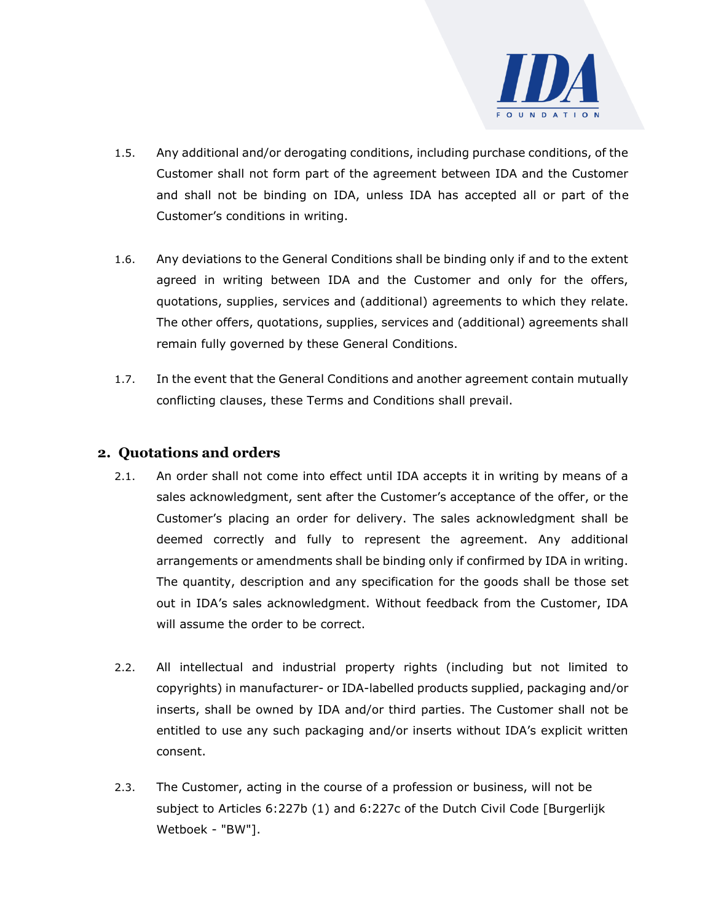

- 1.5. Any additional and/or derogating conditions, including purchase conditions, of the Customer shall not form part of the agreement between IDA and the Customer and shall not be binding on IDA, unless IDA has accepted all or part of the Customer's conditions in writing.
- 1.6. Any deviations to the General Conditions shall be binding only if and to the extent agreed in writing between IDA and the Customer and only for the offers, quotations, supplies, services and (additional) agreements to which they relate. The other offers, quotations, supplies, services and (additional) agreements shall remain fully governed by these General Conditions.
- 1.7. In the event that the General Conditions and another agreement contain mutually conflicting clauses, these Terms and Conditions shall prevail.

## **2. Quotations and orders**

- 2.1. An order shall not come into effect until IDA accepts it in writing by means of a sales acknowledgment, sent after the Customer's acceptance of the offer, or the Customer's placing an order for delivery. The sales acknowledgment shall be deemed correctly and fully to represent the agreement. Any additional arrangements or amendments shall be binding only if confirmed by IDA in writing. The quantity, description and any specification for the goods shall be those set out in IDA's sales acknowledgment. Without feedback from the Customer, IDA will assume the order to be correct.
- 2.2. All intellectual and industrial property rights (including but not limited to copyrights) in manufacturer- or IDA-labelled products supplied, packaging and/or inserts, shall be owned by IDA and/or third parties. The Customer shall not be entitled to use any such packaging and/or inserts without IDA's explicit written consent.
- 2.3. The Customer, acting in the course of a profession or business, will not be subject to Articles 6:227b (1) and 6:227c of the Dutch Civil Code [Burgerlijk Wetboek - "BW"].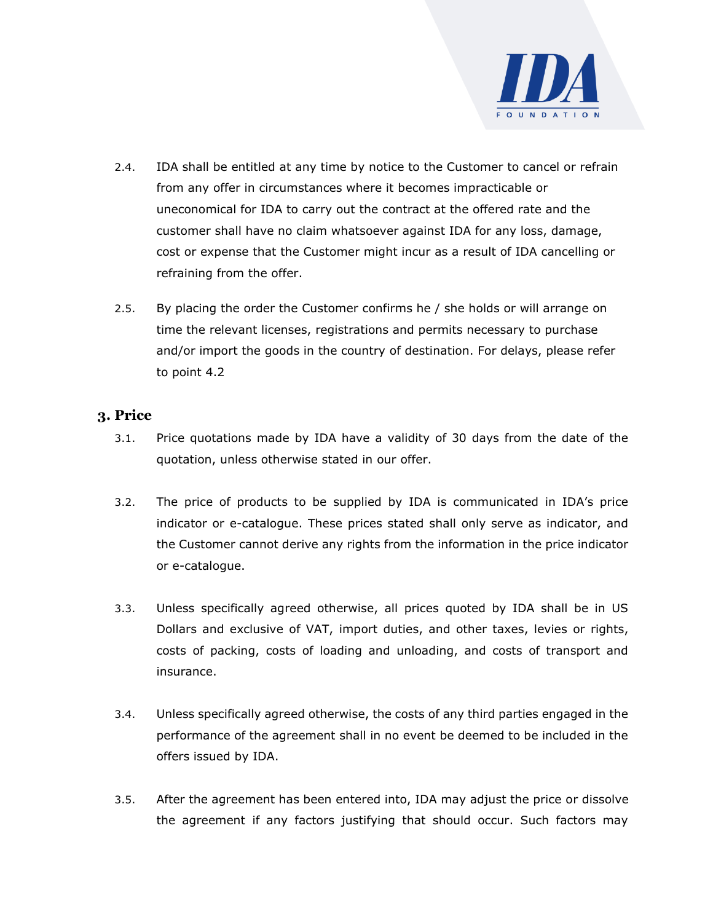

- 2.4. IDA shall be entitled at any time by notice to the Customer to cancel or refrain from any offer in circumstances where it becomes impracticable or uneconomical for IDA to carry out the contract at the offered rate and the customer shall have no claim whatsoever against IDA for any loss, damage, cost or expense that the Customer might incur as a result of IDA cancelling or refraining from the offer.
- 2.5. By placing the order the Customer confirms he / she holds or will arrange on time the relevant licenses, registrations and permits necessary to purchase and/or import the goods in the country of destination. For delays, please refer to point 4.2

#### **3. Price**

- 3.1. Price quotations made by IDA have a validity of 30 days from the date of the quotation, unless otherwise stated in our offer.
- 3.2. The price of products to be supplied by IDA is communicated in IDA's price indicator or e-catalogue. These prices stated shall only serve as indicator, and the Customer cannot derive any rights from the information in the price indicator or e-catalogue.
- 3.3. Unless specifically agreed otherwise, all prices quoted by IDA shall be in US Dollars and exclusive of VAT, import duties, and other taxes, levies or rights, costs of packing, costs of loading and unloading, and costs of transport and insurance.
- 3.4. Unless specifically agreed otherwise, the costs of any third parties engaged in the performance of the agreement shall in no event be deemed to be included in the offers issued by IDA.
- 3.5. After the agreement has been entered into, IDA may adjust the price or dissolve the agreement if any factors justifying that should occur. Such factors may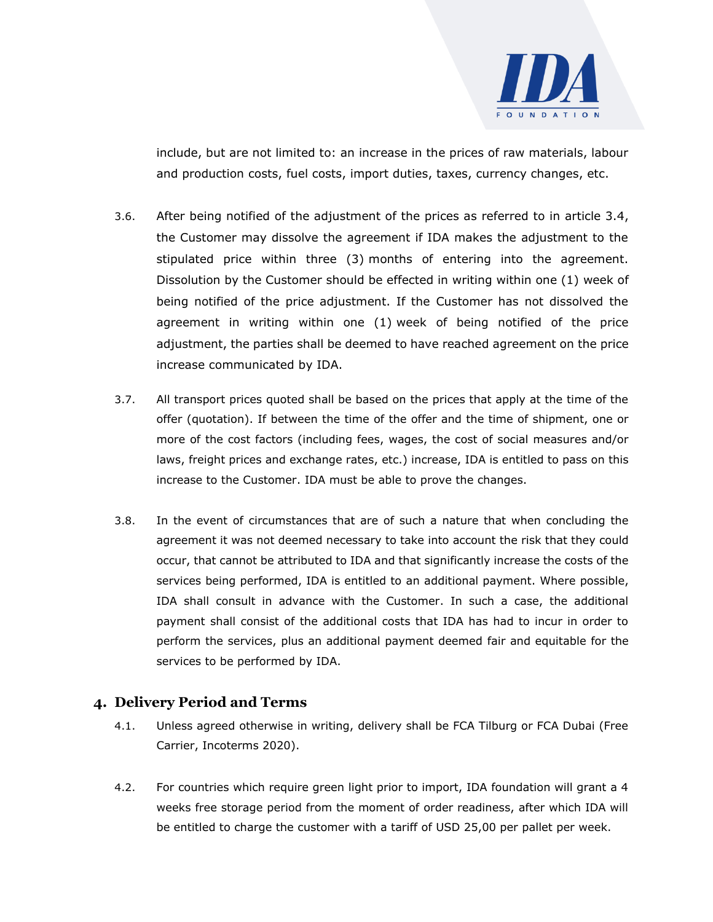

include, but are not limited to: an increase in the prices of raw materials, labour and production costs, fuel costs, import duties, taxes, currency changes, etc.

- 3.6. After being notified of the adjustment of the prices as referred to in article 3.4, the Customer may dissolve the agreement if IDA makes the adjustment to the stipulated price within three (3) months of entering into the agreement. Dissolution by the Customer should be effected in writing within one (1) week of being notified of the price adjustment. If the Customer has not dissolved the agreement in writing within one (1) week of being notified of the price adjustment, the parties shall be deemed to have reached agreement on the price increase communicated by IDA.
- 3.7. All transport prices quoted shall be based on the prices that apply at the time of the offer (quotation). If between the time of the offer and the time of shipment, one or more of the cost factors (including fees, wages, the cost of social measures and/or laws, freight prices and exchange rates, etc.) increase, IDA is entitled to pass on this increase to the Customer. IDA must be able to prove the changes.
- 3.8. In the event of circumstances that are of such a nature that when concluding the agreement it was not deemed necessary to take into account the risk that they could occur, that cannot be attributed to IDA and that significantly increase the costs of the services being performed, IDA is entitled to an additional payment. Where possible, IDA shall consult in advance with the Customer. In such a case, the additional payment shall consist of the additional costs that IDA has had to incur in order to perform the services, plus an additional payment deemed fair and equitable for the services to be performed by IDA.

#### **4. Delivery Period and Terms**

- 4.1. Unless agreed otherwise in writing, delivery shall be FCA Tilburg or FCA Dubai (Free Carrier, Incoterms 2020).
- 4.2. For countries which require green light prior to import, IDA foundation will grant a 4 weeks free storage period from the moment of order readiness, after which IDA will be entitled to charge the customer with a tariff of USD 25,00 per pallet per week.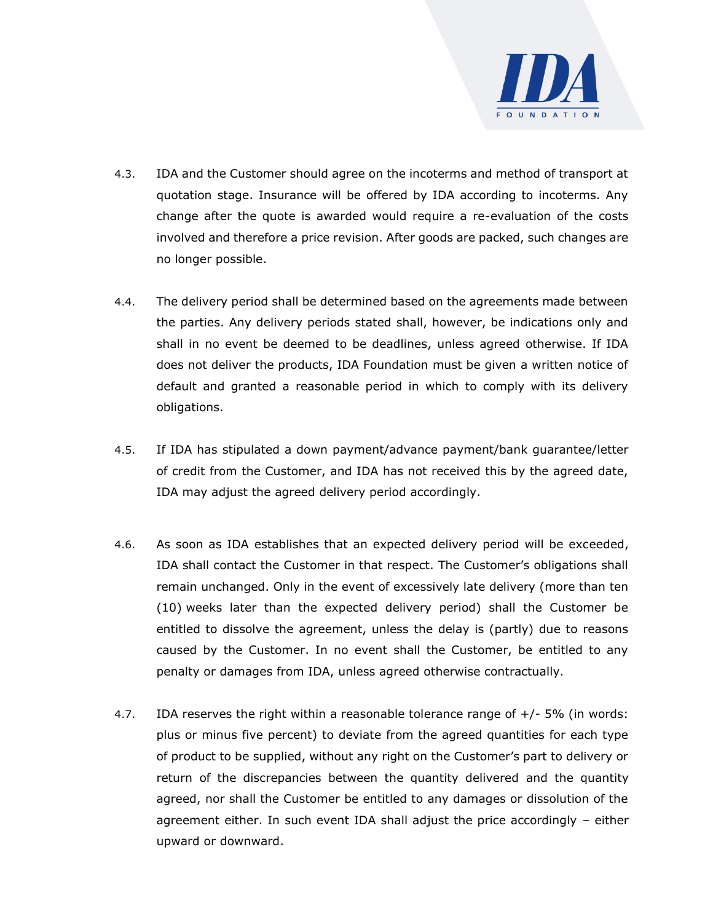

- 4.3. IDA and the Customer should agree on the incoterms and method of transport at quotation stage. Insurance will be offered by IDA according to incoterms. Any change after the quote is awarded would require a re-evaluation of the costs involved and therefore a price revision. After goods are packed, such changes are no longer possible.
- 4.4. The delivery period shall be determined based on the agreements made between the parties. Any delivery periods stated shall, however, be indications only and shall in no event be deemed to be deadlines, unless agreed otherwise. If IDA does not deliver the products, IDA Foundation must be given a written notice of default and granted a reasonable period in which to comply with its delivery obligations.
- 4.5. If IDA has stipulated a down payment/advance payment/bank guarantee/letter of credit from the Customer, and IDA has not received this by the agreed date, IDA may adjust the agreed delivery period accordingly.
- 4.6. As soon as IDA establishes that an expected delivery period will be exceeded, IDA shall contact the Customer in that respect. The Customer's obligations shall remain unchanged. Only in the event of excessively late delivery (more than ten (10) weeks later than the expected delivery period) shall the Customer be entitled to dissolve the agreement, unless the delay is (partly) due to reasons caused by the Customer. In no event shall the Customer, be entitled to any penalty or damages from IDA, unless agreed otherwise contractually.
- 4.7. IDA reserves the right within a reasonable tolerance range of +/- 5% (in words: plus or minus five percent) to deviate from the agreed quantities for each type of product to be supplied, without any right on the Customer's part to delivery or return of the discrepancies between the quantity delivered and the quantity agreed, nor shall the Customer be entitled to any damages or dissolution of the agreement either. In such event IDA shall adjust the price accordingly – either upward or downward.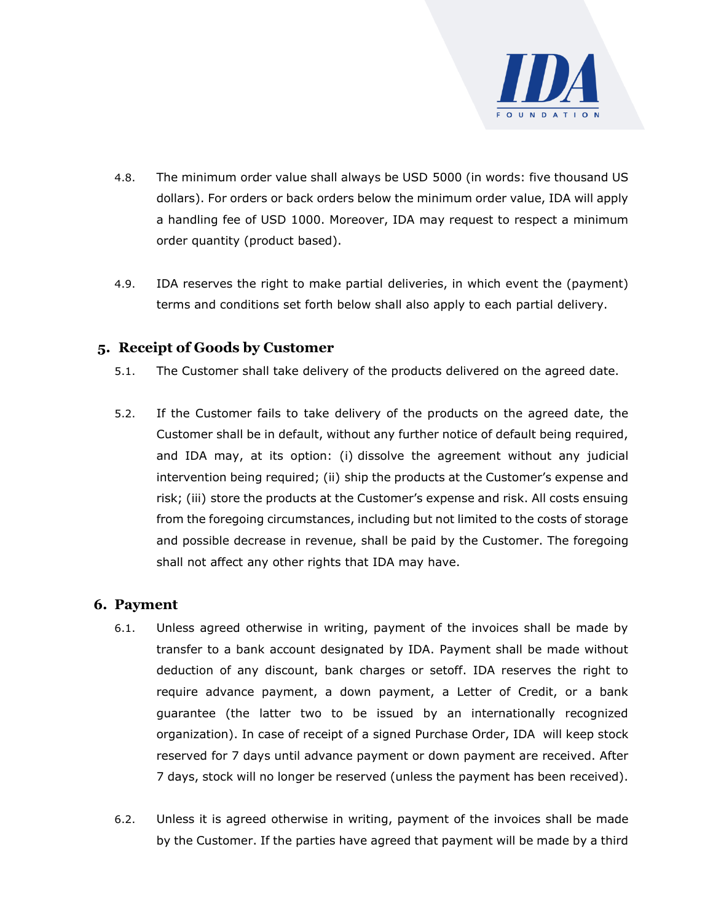

- 4.8. The minimum order value shall always be USD 5000 (in words: five thousand US dollars). For orders or back orders below the minimum order value, IDA will apply a handling fee of USD 1000. Moreover, IDA may request to respect a minimum order quantity (product based).
- 4.9. IDA reserves the right to make partial deliveries, in which event the (payment) terms and conditions set forth below shall also apply to each partial delivery.

# **5. Receipt of Goods by Customer**

- 5.1. The Customer shall take delivery of the products delivered on the agreed date.
- 5.2. If the Customer fails to take delivery of the products on the agreed date, the Customer shall be in default, without any further notice of default being required, and IDA may, at its option: (i) dissolve the agreement without any judicial intervention being required; (ii) ship the products at the Customer's expense and risk; (iii) store the products at the Customer's expense and risk. All costs ensuing from the foregoing circumstances, including but not limited to the costs of storage and possible decrease in revenue, shall be paid by the Customer. The foregoing shall not affect any other rights that IDA may have.

#### **6. Payment**

- 6.1. Unless agreed otherwise in writing, payment of the invoices shall be made by transfer to a bank account designated by IDA. Payment shall be made without deduction of any discount, bank charges or setoff. IDA reserves the right to require advance payment, a down payment, a Letter of Credit, or a bank guarantee (the latter two to be issued by an internationally recognized organization). In case of receipt of a signed Purchase Order, IDA will keep stock reserved for 7 days until advance payment or down payment are received. After 7 days, stock will no longer be reserved (unless the payment has been received).
- 6.2. Unless it is agreed otherwise in writing, payment of the invoices shall be made by the Customer. If the parties have agreed that payment will be made by a third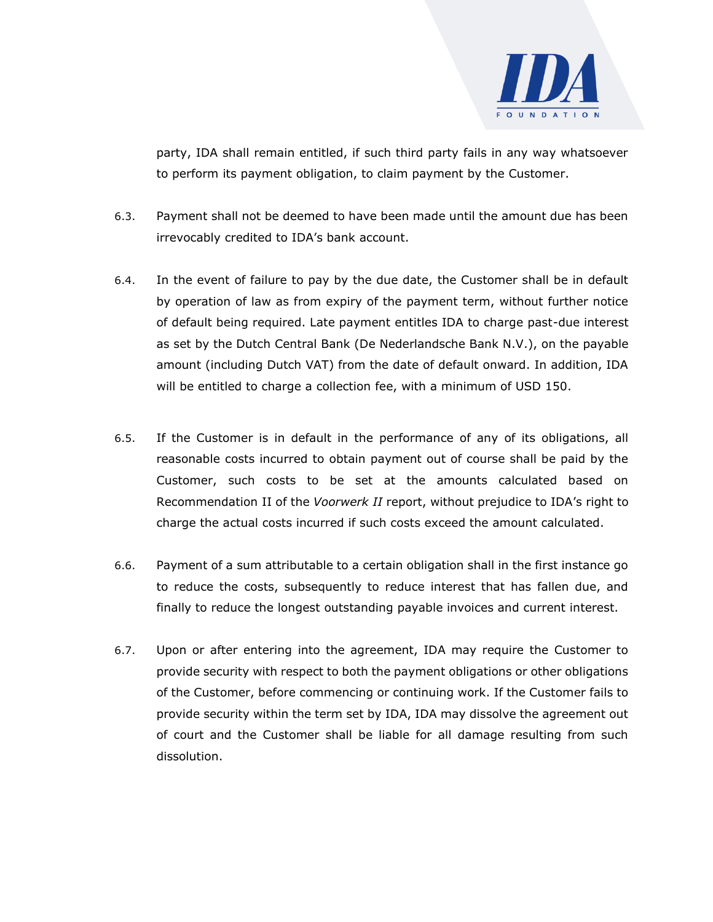

party, IDA shall remain entitled, if such third party fails in any way whatsoever to perform its payment obligation, to claim payment by the Customer.

- 6.3. Payment shall not be deemed to have been made until the amount due has been irrevocably credited to IDA's bank account.
- 6.4. In the event of failure to pay by the due date, the Customer shall be in default by operation of law as from expiry of the payment term, without further notice of default being required. Late payment entitles IDA to charge past-due interest as set by the Dutch Central Bank (De Nederlandsche Bank N.V.), on the payable amount (including Dutch VAT) from the date of default onward. In addition, IDA will be entitled to charge a collection fee, with a minimum of USD 150.
- 6.5. If the Customer is in default in the performance of any of its obligations, all reasonable costs incurred to obtain payment out of course shall be paid by the Customer, such costs to be set at the amounts calculated based on Recommendation II of the *Voorwerk II* report, without prejudice to IDA's right to charge the actual costs incurred if such costs exceed the amount calculated.
- 6.6. Payment of a sum attributable to a certain obligation shall in the first instance go to reduce the costs, subsequently to reduce interest that has fallen due, and finally to reduce the longest outstanding payable invoices and current interest.
- 6.7. Upon or after entering into the agreement, IDA may require the Customer to provide security with respect to both the payment obligations or other obligations of the Customer, before commencing or continuing work. If the Customer fails to provide security within the term set by IDA, IDA may dissolve the agreement out of court and the Customer shall be liable for all damage resulting from such dissolution.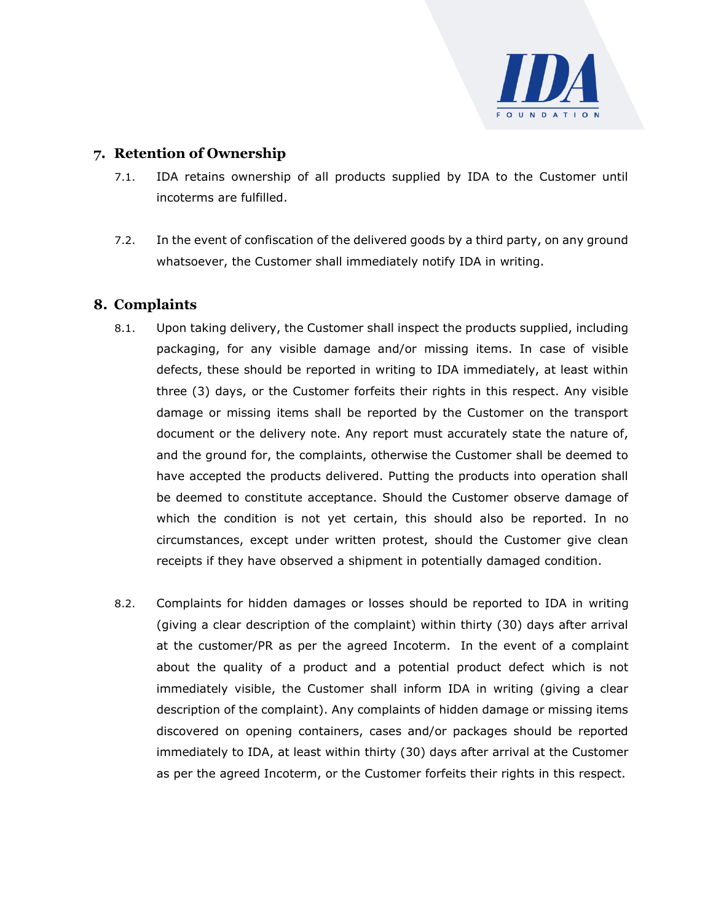

# **7. Retention of Ownership**

- 7.1. IDA retains ownership of all products supplied by IDA to the Customer until incoterms are fulfilled.
- 7.2. In the event of confiscation of the delivered goods by a third party, on any ground whatsoever, the Customer shall immediately notify IDA in writing.

# **8. Complaints**

- 8.1. Upon taking delivery, the Customer shall inspect the products supplied, including packaging, for any visible damage and/or missing items. In case of visible defects, these should be reported in writing to IDA immediately, at least within three (3) days, or the Customer forfeits their rights in this respect. Any visible damage or missing items shall be reported by the Customer on the transport document or the delivery note. Any report must accurately state the nature of, and the ground for, the complaints, otherwise the Customer shall be deemed to have accepted the products delivered. Putting the products into operation shall be deemed to constitute acceptance. Should the Customer observe damage of which the condition is not yet certain, this should also be reported. In no circumstances, except under written protest, should the Customer give clean receipts if they have observed a shipment in potentially damaged condition.
- 8.2. Complaints for hidden damages or losses should be reported to IDA in writing (giving a clear description of the complaint) within thirty (30) days after arrival at the customer/PR as per the agreed Incoterm. In the event of a complaint about the quality of a product and a potential product defect which is not immediately visible, the Customer shall inform IDA in writing (giving a clear description of the complaint). Any complaints of hidden damage or missing items discovered on opening containers, cases and/or packages should be reported immediately to IDA, at least within thirty (30) days after arrival at the Customer as per the agreed Incoterm, or the Customer forfeits their rights in this respect.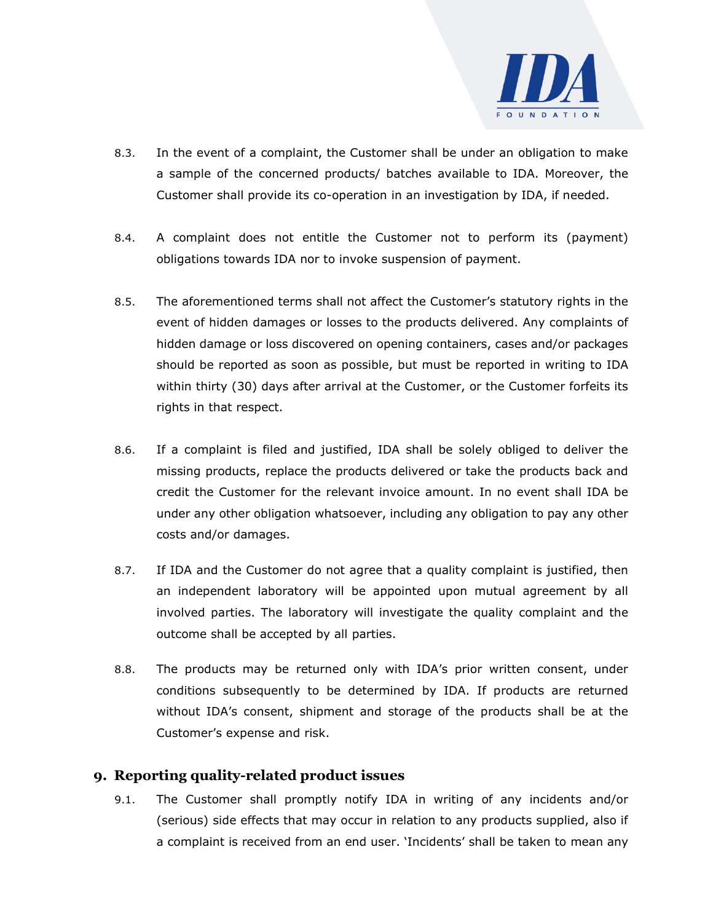

- 8.3. In the event of a complaint, the Customer shall be under an obligation to make a sample of the concerned products/ batches available to IDA. Moreover, the Customer shall provide its co-operation in an investigation by IDA, if needed.
- 8.4. A complaint does not entitle the Customer not to perform its (payment) obligations towards IDA nor to invoke suspension of payment.
- 8.5. The aforementioned terms shall not affect the Customer's statutory rights in the event of hidden damages or losses to the products delivered. Any complaints of hidden damage or loss discovered on opening containers, cases and/or packages should be reported as soon as possible, but must be reported in writing to IDA within thirty (30) days after arrival at the Customer, or the Customer forfeits its rights in that respect.
- 8.6. If a complaint is filed and justified, IDA shall be solely obliged to deliver the missing products, replace the products delivered or take the products back and credit the Customer for the relevant invoice amount. In no event shall IDA be under any other obligation whatsoever, including any obligation to pay any other costs and/or damages.
- 8.7. If IDA and the Customer do not agree that a quality complaint is justified, then an independent laboratory will be appointed upon mutual agreement by all involved parties. The laboratory will investigate the quality complaint and the outcome shall be accepted by all parties.
- 8.8. The products may be returned only with IDA's prior written consent, under conditions subsequently to be determined by IDA. If products are returned without IDA's consent, shipment and storage of the products shall be at the Customer's expense and risk.

#### **9. Reporting quality-related product issues**

9.1. The Customer shall promptly notify IDA in writing of any incidents and/or (serious) side effects that may occur in relation to any products supplied, also if a complaint is received from an end user. 'Incidents' shall be taken to mean any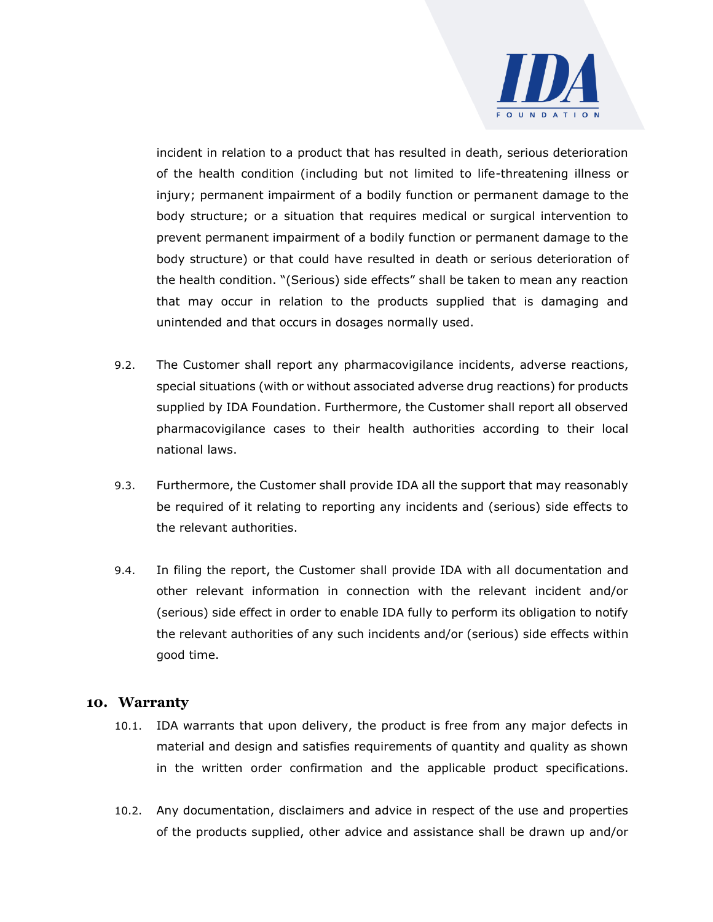

incident in relation to a product that has resulted in death, serious deterioration of the health condition (including but not limited to life-threatening illness or injury; permanent impairment of a bodily function or permanent damage to the body structure; or a situation that requires medical or surgical intervention to prevent permanent impairment of a bodily function or permanent damage to the body structure) or that could have resulted in death or serious deterioration of the health condition. "(Serious) side effects" shall be taken to mean any reaction that may occur in relation to the products supplied that is damaging and unintended and that occurs in dosages normally used.

- 9.2. The Customer shall report any pharmacovigilance incidents, adverse reactions, special situations (with or without associated adverse drug reactions) for products supplied by IDA Foundation. Furthermore, the Customer shall report all observed pharmacovigilance cases to their health authorities according to their local national laws.
- 9.3. Furthermore, the Customer shall provide IDA all the support that may reasonably be required of it relating to reporting any incidents and (serious) side effects to the relevant authorities.
- 9.4. In filing the report, the Customer shall provide IDA with all documentation and other relevant information in connection with the relevant incident and/or (serious) side effect in order to enable IDA fully to perform its obligation to notify the relevant authorities of any such incidents and/or (serious) side effects within good time.

#### **10. Warranty**

- 10.1. IDA warrants that upon delivery, the product is free from any major defects in material and design and satisfies requirements of quantity and quality as shown in the written order confirmation and the applicable product specifications.
- 10.2. Any documentation, disclaimers and advice in respect of the use and properties of the products supplied, other advice and assistance shall be drawn up and/or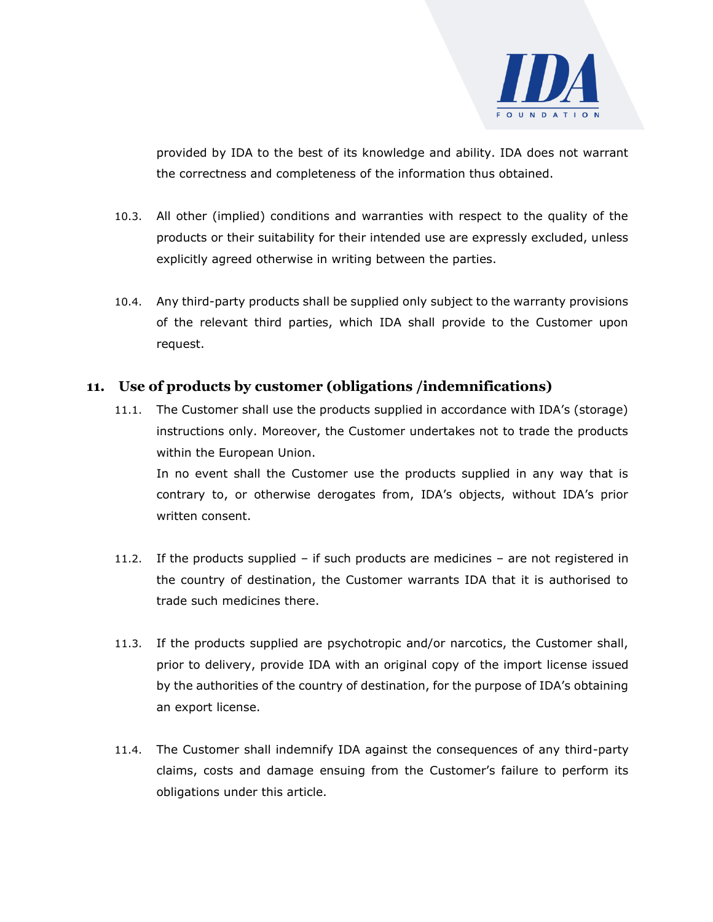

provided by IDA to the best of its knowledge and ability. IDA does not warrant the correctness and completeness of the information thus obtained.

- 10.3. All other (implied) conditions and warranties with respect to the quality of the products or their suitability for their intended use are expressly excluded, unless explicitly agreed otherwise in writing between the parties.
- 10.4. Any third-party products shall be supplied only subject to the warranty provisions of the relevant third parties, which IDA shall provide to the Customer upon request.

# **11. Use of products by customer (obligations /indemnifications)**

- 11.1. The Customer shall use the products supplied in accordance with IDA's (storage) instructions only. Moreover, the Customer undertakes not to trade the products within the European Union. In no event shall the Customer use the products supplied in any way that is contrary to, or otherwise derogates from, IDA's objects, without IDA's prior written consent.
- 11.2. If the products supplied if such products are medicines are not registered in the country of destination, the Customer warrants IDA that it is authorised to trade such medicines there.
- 11.3. If the products supplied are psychotropic and/or narcotics, the Customer shall, prior to delivery, provide IDA with an original copy of the import license issued by the authorities of the country of destination, for the purpose of IDA's obtaining an export license.
- 11.4. The Customer shall indemnify IDA against the consequences of any third-party claims, costs and damage ensuing from the Customer's failure to perform its obligations under this article.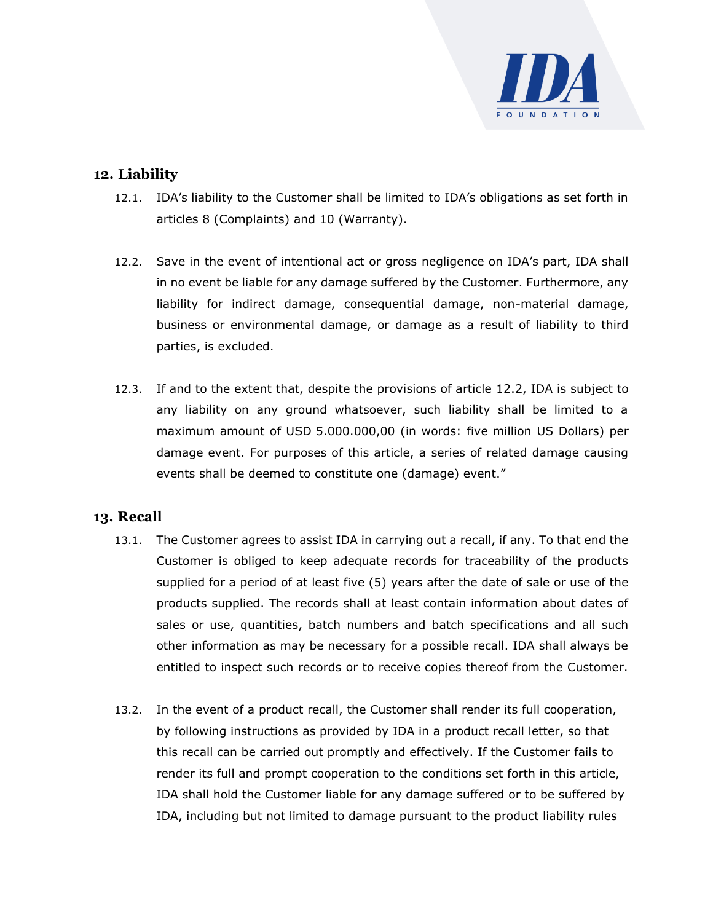

# **12. Liability**

- 12.1. IDA's liability to the Customer shall be limited to IDA's obligations as set forth in articles 8 (Complaints) and 10 (Warranty).
- 12.2. Save in the event of intentional act or gross negligence on IDA's part, IDA shall in no event be liable for any damage suffered by the Customer. Furthermore, any liability for indirect damage, consequential damage, non-material damage, business or environmental damage, or damage as a result of liability to third parties, is excluded.
- 12.3. If and to the extent that, despite the provisions of article 12.2, IDA is subject to any liability on any ground whatsoever, such liability shall be limited to a maximum amount of USD 5.000.000,00 (in words: five million US Dollars) per damage event. For purposes of this article, a series of related damage causing events shall be deemed to constitute one (damage) event."

#### **13. Recall**

- 13.1. The Customer agrees to assist IDA in carrying out a recall, if any. To that end the Customer is obliged to keep adequate records for traceability of the products supplied for a period of at least five (5) years after the date of sale or use of the products supplied. The records shall at least contain information about dates of sales or use, quantities, batch numbers and batch specifications and all such other information as may be necessary for a possible recall. IDA shall always be entitled to inspect such records or to receive copies thereof from the Customer.
- 13.2. In the event of a product recall, the Customer shall render its full cooperation, by following instructions as provided by IDA in a product recall letter, so that this recall can be carried out promptly and effectively. If the Customer fails to render its full and prompt cooperation to the conditions set forth in this article, IDA shall hold the Customer liable for any damage suffered or to be suffered by IDA, including but not limited to damage pursuant to the product liability rules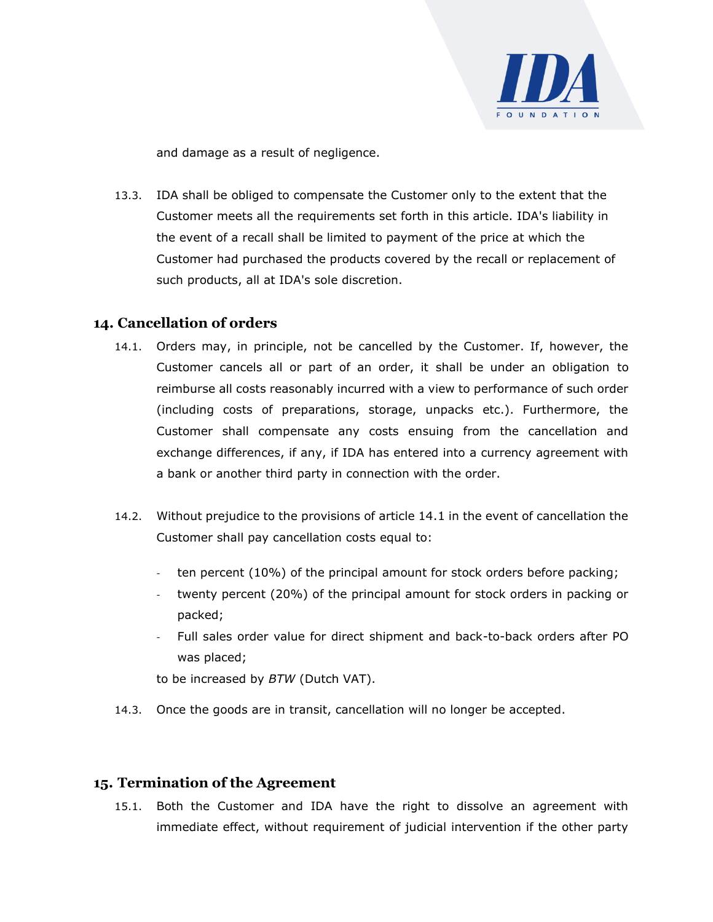

and damage as a result of negligence.

13.3. IDA shall be obliged to compensate the Customer only to the extent that the Customer meets all the requirements set forth in this article. IDA's liability in the event of a recall shall be limited to payment of the price at which the Customer had purchased the products covered by the recall or replacement of such products, all at IDA's sole discretion.

## **14. Cancellation of orders**

- 14.1. Orders may, in principle, not be cancelled by the Customer. If, however, the Customer cancels all or part of an order, it shall be under an obligation to reimburse all costs reasonably incurred with a view to performance of such order (including costs of preparations, storage, unpacks etc.). Furthermore, the Customer shall compensate any costs ensuing from the cancellation and exchange differences, if any, if IDA has entered into a currency agreement with a bank or another third party in connection with the order.
- 14.2. Without prejudice to the provisions of article 14.1 in the event of cancellation the Customer shall pay cancellation costs equal to:
	- ten percent (10%) of the principal amount for stock orders before packing;
	- twenty percent (20%) of the principal amount for stock orders in packing or packed;
	- Full sales order value for direct shipment and back-to-back orders after PO was placed;

to be increased by *BTW* (Dutch VAT).

14.3. Once the goods are in transit, cancellation will no longer be accepted.

# **15. Termination of the Agreement**

15.1. Both the Customer and IDA have the right to dissolve an agreement with immediate effect, without requirement of judicial intervention if the other party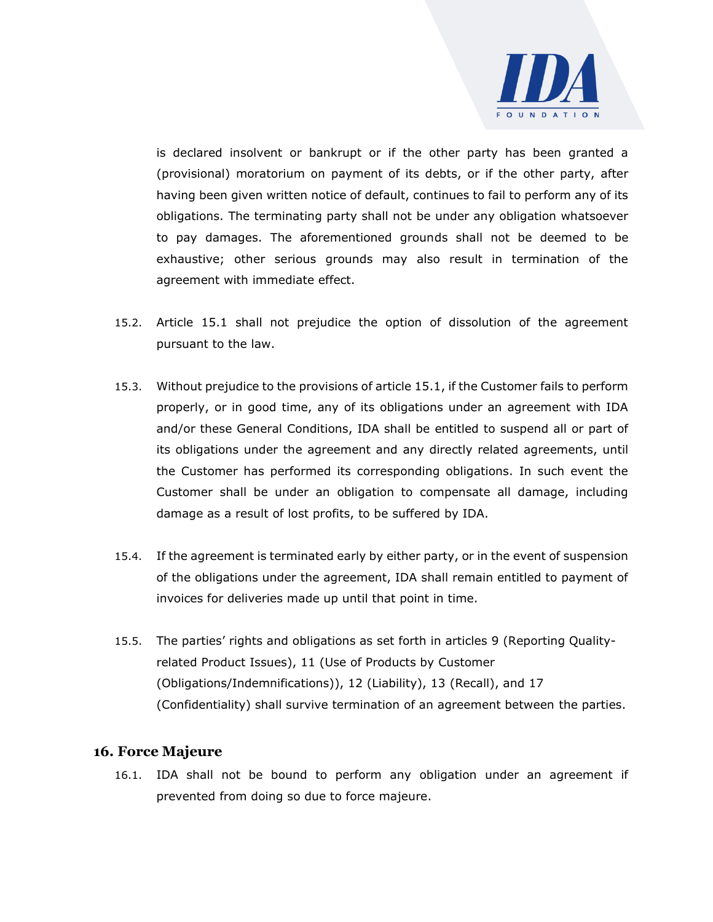

is declared insolvent or bankrupt or if the other party has been granted a (provisional) moratorium on payment of its debts, or if the other party, after having been given written notice of default, continues to fail to perform any of its obligations. The terminating party shall not be under any obligation whatsoever to pay damages. The aforementioned grounds shall not be deemed to be exhaustive; other serious grounds may also result in termination of the agreement with immediate effect.

- 15.2. Article 15.1 shall not prejudice the option of dissolution of the agreement pursuant to the law.
- 15.3. Without prejudice to the provisions of article 15.1, if the Customer fails to perform properly, or in good time, any of its obligations under an agreement with IDA and/or these General Conditions, IDA shall be entitled to suspend all or part of its obligations under the agreement and any directly related agreements, until the Customer has performed its corresponding obligations. In such event the Customer shall be under an obligation to compensate all damage, including damage as a result of lost profits, to be suffered by IDA.
- 15.4. If the agreement is terminated early by either party, or in the event of suspension of the obligations under the agreement, IDA shall remain entitled to payment of invoices for deliveries made up until that point in time.
- 15.5. The parties' rights and obligations as set forth in articles 9 (Reporting Qualityrelated Product Issues), 11 (Use of Products by Customer (Obligations/Indemnifications)), 12 (Liability), 13 (Recall), and 17 (Confidentiality) shall survive termination of an agreement between the parties.

#### **16. Force Majeure**

16.1. IDA shall not be bound to perform any obligation under an agreement if prevented from doing so due to force majeure.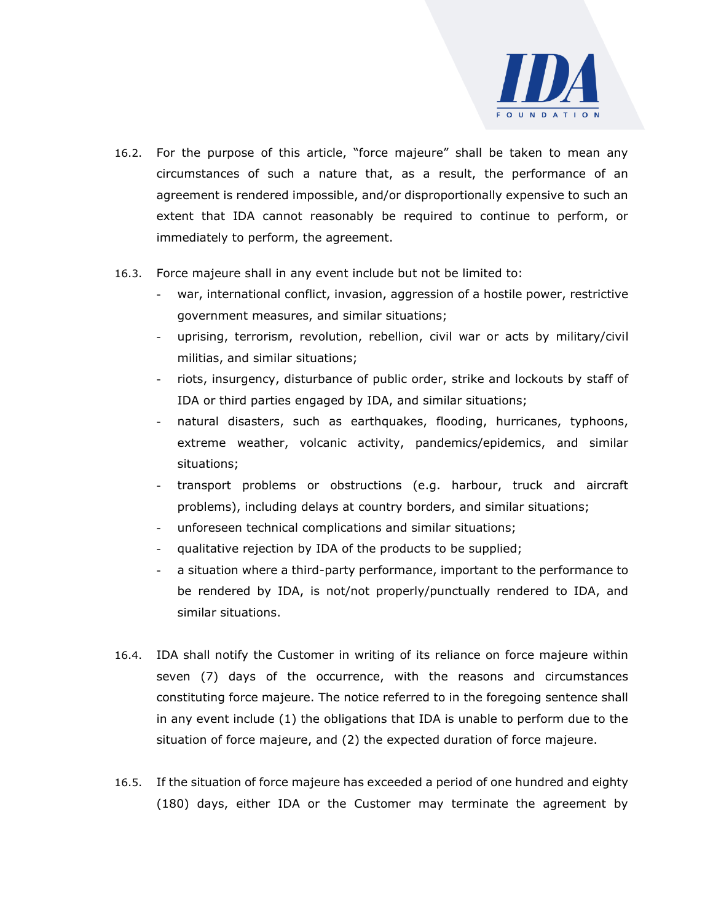

- 16.2. For the purpose of this article, "force majeure" shall be taken to mean any circumstances of such a nature that, as a result, the performance of an agreement is rendered impossible, and/or disproportionally expensive to such an extent that IDA cannot reasonably be required to continue to perform, or immediately to perform, the agreement.
- 16.3. Force majeure shall in any event include but not be limited to:
	- war, international conflict, invasion, aggression of a hostile power, restrictive government measures, and similar situations;
	- uprising, terrorism, revolution, rebellion, civil war or acts by military/civil militias, and similar situations;
	- riots, insurgency, disturbance of public order, strike and lockouts by staff of IDA or third parties engaged by IDA, and similar situations;
	- natural disasters, such as earthquakes, flooding, hurricanes, typhoons, extreme weather, volcanic activity, pandemics/epidemics, and similar situations;
	- transport problems or obstructions (e.g. harbour, truck and aircraft problems), including delays at country borders, and similar situations;
	- unforeseen technical complications and similar situations;
	- qualitative rejection by IDA of the products to be supplied;
	- a situation where a third-party performance, important to the performance to be rendered by IDA, is not/not properly/punctually rendered to IDA, and similar situations.
- 16.4. IDA shall notify the Customer in writing of its reliance on force majeure within seven (7) days of the occurrence, with the reasons and circumstances constituting force majeure. The notice referred to in the foregoing sentence shall in any event include (1) the obligations that IDA is unable to perform due to the situation of force majeure, and (2) the expected duration of force majeure.
- 16.5. If the situation of force majeure has exceeded a period of one hundred and eighty (180) days, either IDA or the Customer may terminate the agreement by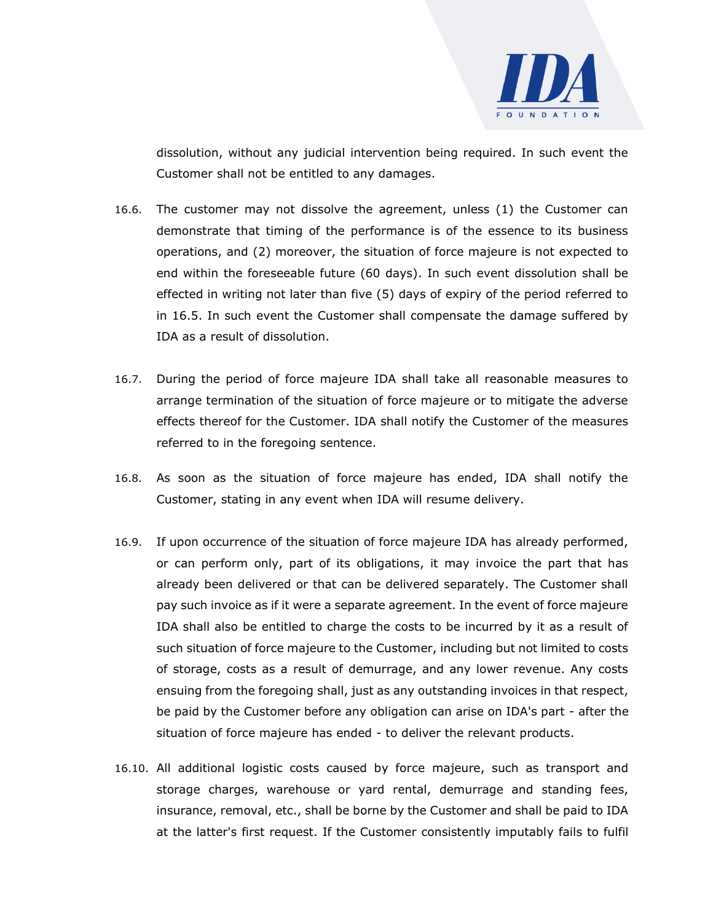

dissolution, without any judicial intervention being required. In such event the Customer shall not be entitled to any damages.

- 16.6. The customer may not dissolve the agreement, unless (1) the Customer can demonstrate that timing of the performance is of the essence to its business operations, and (2) moreover, the situation of force majeure is not expected to end within the foreseeable future (60 days). In such event dissolution shall be effected in writing not later than five (5) days of expiry of the period referred to in 16.5. In such event the Customer shall compensate the damage suffered by IDA as a result of dissolution.
- 16.7. During the period of force majeure IDA shall take all reasonable measures to arrange termination of the situation of force majeure or to mitigate the adverse effects thereof for the Customer. IDA shall notify the Customer of the measures referred to in the foregoing sentence.
- 16.8. As soon as the situation of force majeure has ended, IDA shall notify the Customer, stating in any event when IDA will resume delivery.
- 16.9. If upon occurrence of the situation of force majeure IDA has already performed, or can perform only, part of its obligations, it may invoice the part that has already been delivered or that can be delivered separately. The Customer shall pay such invoice as if it were a separate agreement. In the event of force majeure IDA shall also be entitled to charge the costs to be incurred by it as a result of such situation of force majeure to the Customer, including but not limited to costs of storage, costs as a result of demurrage, and any lower revenue. Any costs ensuing from the foregoing shall, just as any outstanding invoices in that respect, be paid by the Customer before any obligation can arise on IDA's part - after the situation of force majeure has ended - to deliver the relevant products.
- 16.10. All additional logistic costs caused by force majeure, such as transport and storage charges, warehouse or yard rental, demurrage and standing fees, insurance, removal, etc., shall be borne by the Customer and shall be paid to IDA at the latter's first request. If the Customer consistently imputably fails to fulfil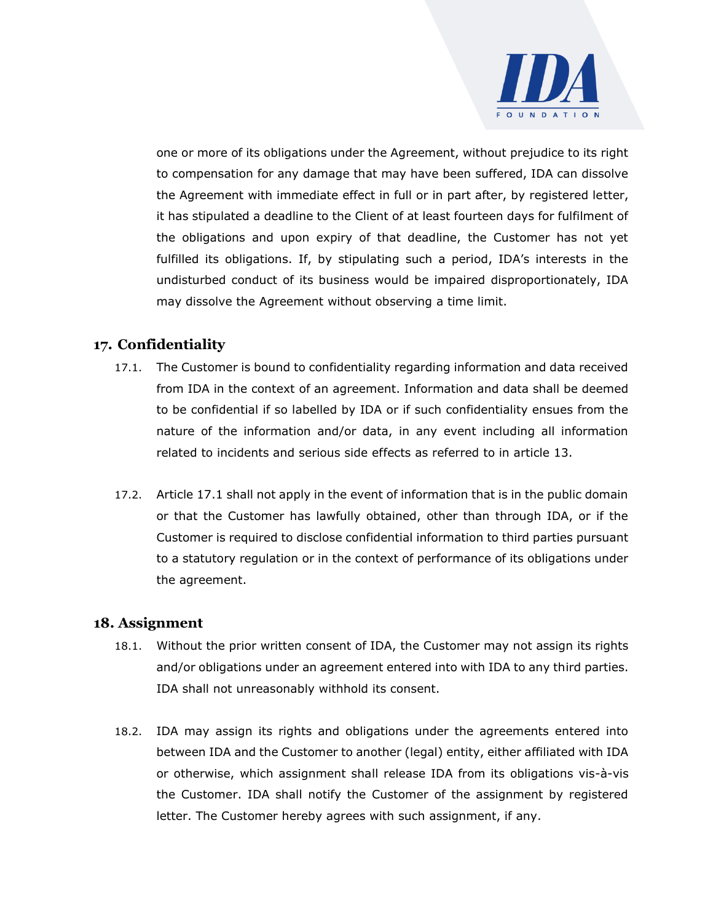

one or more of its obligations under the Agreement, without prejudice to its right to compensation for any damage that may have been suffered, IDA can dissolve the Agreement with immediate effect in full or in part after, by registered letter, it has stipulated a deadline to the Client of at least fourteen days for fulfilment of the obligations and upon expiry of that deadline, the Customer has not yet fulfilled its obligations. If, by stipulating such a period, IDA's interests in the undisturbed conduct of its business would be impaired disproportionately, IDA may dissolve the Agreement without observing a time limit.

# **17. Confidentiality**

- 17.1. The Customer is bound to confidentiality regarding information and data received from IDA in the context of an agreement. Information and data shall be deemed to be confidential if so labelled by IDA or if such confidentiality ensues from the nature of the information and/or data, in any event including all information related to incidents and serious side effects as referred to in article 13.
- 17.2. Article 17.1 shall not apply in the event of information that is in the public domain or that the Customer has lawfully obtained, other than through IDA, or if the Customer is required to disclose confidential information to third parties pursuant to a statutory regulation or in the context of performance of its obligations under the agreement.

#### **18. Assignment**

- 18.1. Without the prior written consent of IDA, the Customer may not assign its rights and/or obligations under an agreement entered into with IDA to any third parties. IDA shall not unreasonably withhold its consent.
- 18.2. IDA may assign its rights and obligations under the agreements entered into between IDA and the Customer to another (legal) entity, either affiliated with IDA or otherwise, which assignment shall release IDA from its obligations vis-à-vis the Customer. IDA shall notify the Customer of the assignment by registered letter. The Customer hereby agrees with such assignment, if any.